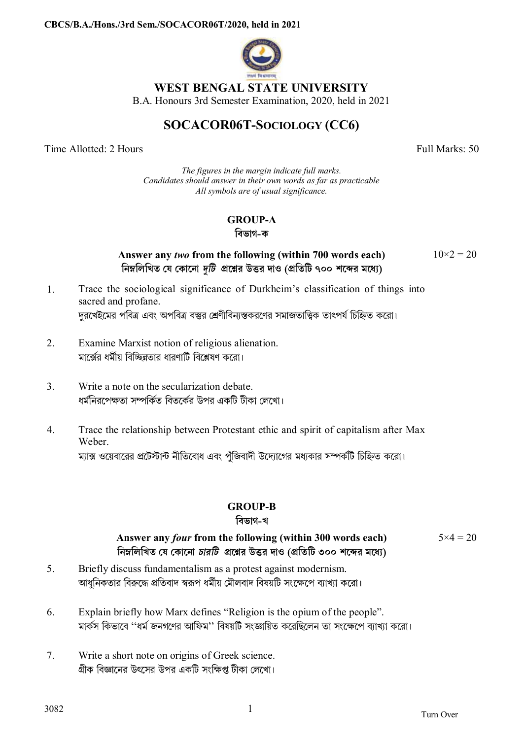

# **WEST BENGAL STATE UNIVERSITY**

B.A. Honours 3rd Semester Examination, 2020, held in 2021

# **SOCACOR06T-SOCIOLOGY (CC6)**

Time Allotted: 2 Hours Full Marks: 50

*The figures in the margin indicate full marks. Candidates should answer in their own words as far as practicable All symbols are of usual significance.*

# **GROUP-A**

**িবভাগ-ক**

#### **Answer any** *two* **from the following (within 700 words each) িনmিলিখত েয েকােনা** *dিট* **pেűর উtর দাও (pিতিট ৭০০ শেbর মেধ°)**  $10\times2 = 20$

- 1. Trace the sociological significance of Durkheim's classification of things into sacred and profane. দুরখেইমের পবিত্র এবং অপবিত্র বস্তুর শ্রেণীবিন্যস্তকরণের সমাজতাত্ত্বিক তাৎপর্য চিহ্নিত করো।
- 2. Examine Marxist notion of religious alienation. মার্ক্সের ধর্মীয় বিচ্ছিন্নতার ধারণাটি বিশ্লেষণ করো।
- 3. Write a note on the secularization debate. ধর্মনিরপেক্ষতা সম্পর্কিত বিতর্কের উপর একটি টীকা লেখো।
- 4. Trace the relationship between Protestant ethic and spirit of capitalism after Max Weber. ম্যাক্স ওয়েবারের প্রটেস্টান্ট নীতিবোধ এবং পুঁজিবাদী উদ্যোগের মধ্যকার সম্পর্কটি চিহ্নিত করো।

# **GROUP-B**

#### **িবভাগ-খ**

# **Answer any** *four* **from the following (within 300 words each) িনmিলিখত েয েকােনা** *চারিট* **pেűর উtর দাও (pিতিট ৩০০ শেbর মেধ°)**

 $5 \times 4 = 20$ 

- 5. Briefly discuss fundamentalism as a protest against modernism. আধনিকতার বিরুদ্ধে প্রতিবাদ স্বরূপ ধর্মীয় মৌলবাদ বিষয়টি সংক্ষেপে ব্যাখ্যা করো।
- 6. Explain briefly how Marx defines "Religion is the opium of the people". মার্কস কিভাবে ''ধর্ম জনগণের আফিম'' বিষয়টি সংজ্ঞায়িত করেছিলেন তা সংক্ষেপে ব্যাখ্যা করো।
- 7. Write a short note on origins of Greek science. গ্রীক বিজ্ঞানের উৎসের উপর একটি সংক্ষিপ্ত টীকা লেখো।